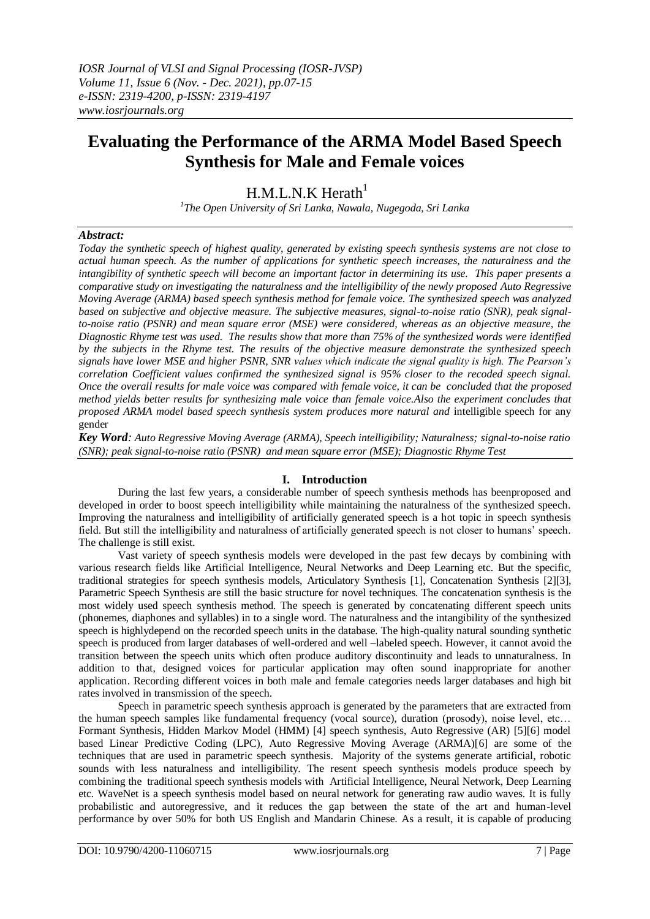# **Evaluating the Performance of the ARMA Model Based Speech Synthesis for Male and Female voices**

## $H.M.L.N.K Herath<sup>1</sup>$

*1 The Open University of Sri Lanka, Nawala, Nugegoda, Sri Lanka*

## *Abstract:*

*Today the synthetic speech of highest quality, generated by existing speech synthesis systems are not close to actual human speech. As the number of applications for synthetic speech increases, the naturalness and the intangibility of synthetic speech will become an important factor in determining its use. This paper presents a comparative study on investigating the naturalness and the intelligibility of the newly proposed Auto Regressive Moving Average (ARMA) based speech synthesis method for female voice. The synthesized speech was analyzed based on subjective and objective measure. The subjective measures, signal-to-noise ratio (SNR), peak signalto-noise ratio (PSNR) and mean square error (MSE) were considered, whereas as an objective measure, the Diagnostic Rhyme test was used. The results show that more than 75% of the synthesized words were identified by the subjects in the Rhyme test. The results of the objective measure demonstrate the synthesized speech signals have lower MSE and higher PSNR, SNR values which indicate the signal quality is high. The Pearson's correlation Coefficient values confirmed the synthesized signal is 95% closer to the recoded speech signal. Once the overall results for male voice was compared with female voice, it can be concluded that the proposed method yields better results for synthesizing male voice than female voice.Also the experiment concludes that proposed ARMA model based speech synthesis system produces more natural and* intelligible speech for any gender

*Key Word: Auto Regressive Moving Average (ARMA), Speech intelligibility; Naturalness; signal-to-noise ratio (SNR); peak signal-to-noise ratio (PSNR) and mean square error (MSE); Diagnostic Rhyme Test*

## **I. Introduction**

During the last few years, a considerable number of speech synthesis methods has beenproposed and developed in order to boost speech intelligibility while maintaining the naturalness of the synthesized speech. Improving the naturalness and intelligibility of artificially generated speech is a hot topic in speech synthesis field. But still the intelligibility and naturalness of artificially generated speech is not closer to humans' speech. The challenge is still exist.

Vast variety of speech synthesis models were developed in the past few decays by combining with various research fields like Artificial Intelligence, Neural Networks and Deep Learning etc. But the specific, traditional strategies for speech synthesis models, Articulatory Synthesis [1], Concatenation Synthesis [2][3], Parametric Speech Synthesis are still the basic structure for novel techniques. The concatenation synthesis is the most widely used speech synthesis method. The speech is generated by concatenating different speech units (phonemes, diaphones and syllables) in to a single word. The naturalness and the intangibility of the synthesized speech is highlydepend on the recorded speech units in the database. The high-quality natural sounding synthetic speech is produced from larger databases of well-ordered and well –labeled speech. However, it cannot avoid the transition between the speech units which often produce auditory discontinuity and leads to unnaturalness. In addition to that, designed voices for particular application may often sound inappropriate for another application. Recording different voices in both male and female categories needs larger databases and high bit rates involved in transmission of the speech.

Speech in parametric speech synthesis approach is generated by the parameters that are extracted from the human speech samples like fundamental frequency (vocal source), duration (prosody), noise level, etc… Formant Synthesis, Hidden Markov Model (HMM) [4] speech synthesis, Auto Regressive (AR) [5][6] model based Linear Predictive Coding (LPC), Auto Regressive Moving Average (ARMA)[6] are some of the techniques that are used in parametric speech synthesis. Majority of the systems generate artificial, robotic sounds with less naturalness and intelligibility. The resent speech synthesis models produce speech by combining the traditional speech synthesis models with Artificial Intelligence, Neural Network, Deep Learning etc. WaveNet is a speech synthesis model based on neural network for generating raw audio waves. It is fully probabilistic and autoregressive, and it reduces the gap between the state of the art and human-level performance by over 50% for both US English and Mandarin Chinese. As a result, it is capable of producing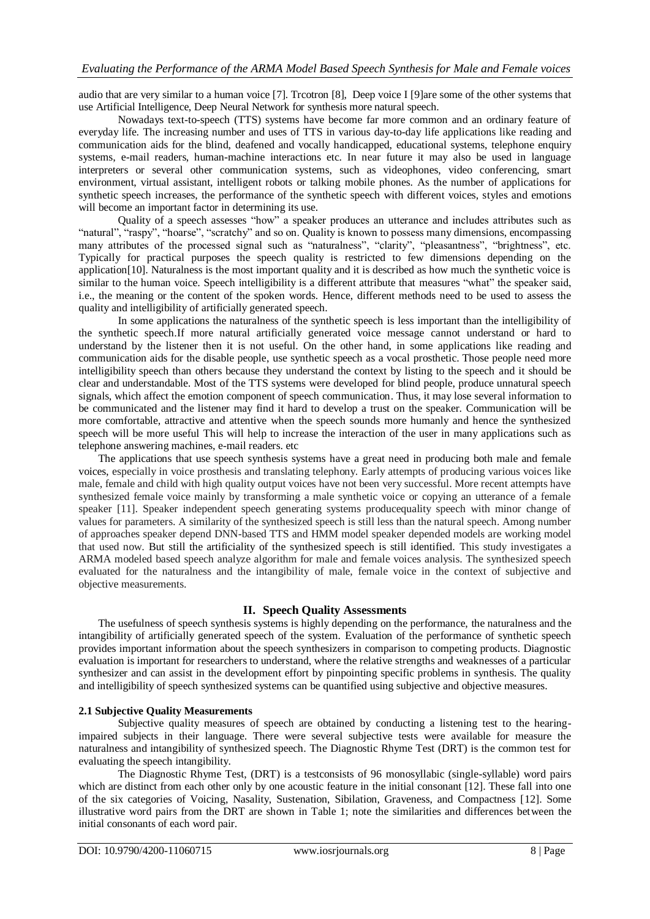audio that are very similar to a human voice [7]. Trcotron [8], Deep voice I [9]are some of the other systems that use Artificial Intelligence, Deep Neural Network for synthesis more natural speech.

Nowadays text-to-speech (TTS) systems have become far more common and an ordinary feature of everyday life. The increasing number and uses of TTS in various day-to-day life applications like reading and communication aids for the blind, deafened and vocally handicapped, educational systems, telephone enquiry systems, e-mail readers, human-machine interactions etc. In near future it may also be used in language interpreters or several other communication systems, such as videophones, video conferencing, smart environment, virtual assistant, intelligent robots or talking mobile phones. As the number of applications for synthetic speech increases, the performance of the synthetic speech with different voices, styles and emotions will become an important factor in determining its use.

Quality of a speech assesses "how" a speaker produces an utterance and includes attributes such as "natural", "raspy", "hoarse", "scratchy" and so on. Quality is known to possess many dimensions, encompassing many attributes of the processed signal such as "naturalness", "clarity", "pleasantness", "brightness", etc. Typically for practical purposes the speech quality is restricted to few dimensions depending on the application[10]. Naturalness is the most important quality and it is described as how much the synthetic voice is similar to the human voice. Speech intelligibility is a different attribute that measures "what" the speaker said, i.e., the meaning or the content of the spoken words. Hence, different methods need to be used to assess the quality and intelligibility of artificially generated speech.

In some applications the naturalness of the synthetic speech is less important than the intelligibility of the synthetic speech.If more natural artificially generated voice message cannot understand or hard to understand by the listener then it is not useful. On the other hand, in some applications like reading and communication aids for the disable people, use synthetic speech as a vocal prosthetic. Those people need more intelligibility speech than others because they understand the context by listing to the speech and it should be clear and understandable. Most of the TTS systems were developed for blind people, produce unnatural speech signals, which affect the emotion component of speech communication. Thus, it may lose several information to be communicated and the listener may find it hard to develop a trust on the speaker. Communication will be more comfortable, attractive and attentive when the speech sounds more humanly and hence the synthesized speech will be more useful This will help to increase the interaction of the user in many applications such as telephone answering machines, e-mail readers. etc

The applications that use speech synthesis systems have a great need in producing both male and female voices, especially in voice prosthesis and translating telephony. Early attempts of producing various voices like male, female and child with high quality output voices have not been very successful. More recent attempts have synthesized female voice mainly by transforming a male synthetic voice or copying an utterance of a female speaker [11]. Speaker independent speech generating systems producequality speech with minor change of values for parameters. A similarity of the synthesized speech is still less than the natural speech. Among number of approaches speaker depend DNN-based TTS and HMM model speaker depended models are working model that used now. But still the artificiality of the synthesized speech is still identified. This study investigates a ARMA modeled based speech analyze algorithm for male and female voices analysis. The synthesized speech evaluated for the naturalness and the intangibility of male, female voice in the context of subjective and objective measurements.

## **II. Speech Quality Assessments**

The usefulness of speech synthesis systems is highly depending on the performance, the naturalness and the intangibility of artificially generated speech of the system. Evaluation of the performance of synthetic speech provides important information about the speech synthesizers in comparison to competing products. Diagnostic evaluation is important for researchers to understand, where the relative strengths and weaknesses of a particular synthesizer and can assist in the development effort by pinpointing specific problems in synthesis. The quality and intelligibility of speech synthesized systems can be quantified using subjective and objective measures.

#### **2.1 Subjective Quality Measurements**

Subjective quality measures of speech are obtained by conducting a listening test to the hearingimpaired subjects in their language. There were several subjective tests were available for measure the naturalness and intangibility of synthesized speech. The Diagnostic Rhyme Test (DRT) is the common test for evaluating the speech intangibility.

The Diagnostic Rhyme Test, (DRT) is a testconsists of 96 monosyllabic (single-syllable) word pairs which are distinct from each other only by one acoustic feature in the initial consonant [12]. These fall into one of the six categories of Voicing, Nasality, Sustenation, Sibilation, Graveness, and Compactness [12]. Some illustrative word pairs from the DRT are shown in Table 1; note the similarities and differences between the initial consonants of each word pair.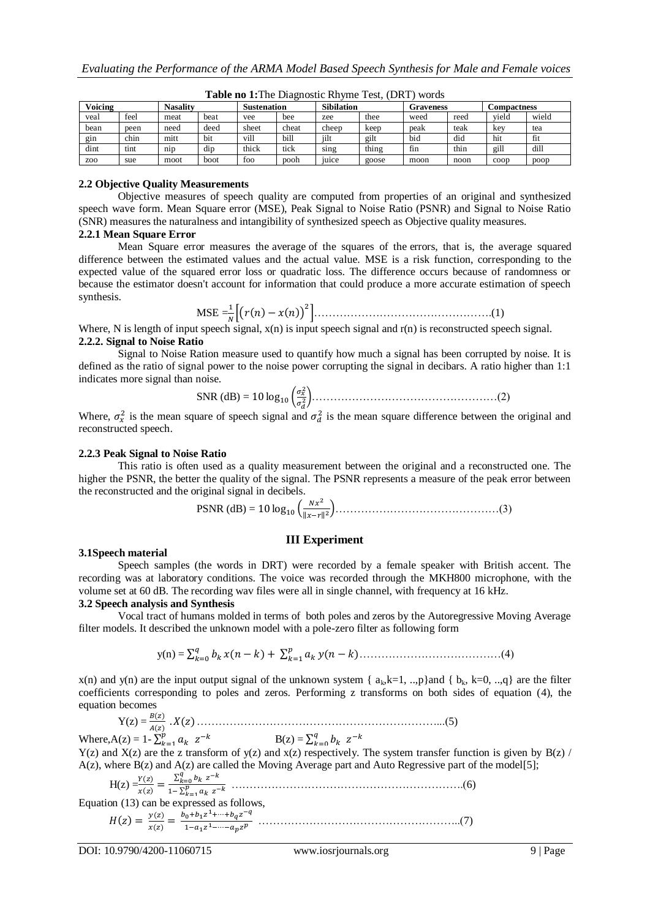| <b>Voicing</b>   |      | <b>Nasality</b> |      | <b>Sustenation</b> |       | <b>Sibilation</b> |       | Graveness |      | <b>Compactness</b> |       |
|------------------|------|-----------------|------|--------------------|-------|-------------------|-------|-----------|------|--------------------|-------|
| veal             | feel | meat            | beat | vee                | bee   | zee               | thee  | weed      | reed | vield              | wield |
| bean             | peen | need            | deed | sheet              | cheat | cheep             | keep  | peak      | teak | kev                | tea   |
| gin              | chin | mitt            | bit  | vill               | bill  | iilt              | gilt  | bid       | did  | hit                | fit   |
| dint             | tint | $n_{1D}$        | dip  | thick              | tick  | sing              | thing | fin       | thin | gill               | dill  |
| Z <sub>0</sub> O | sue  | moot            | boot | foo                | pooh  | <sub>1</sub> uice | goose | moon      | noon | coop               | poop  |

**Table no 1:**The Diagnostic Rhyme Test, (DRT) words

## **2.2 Objective Quality Measurements**

Objective measures of speech quality are computed from properties of an original and synthesized speech wave form. Mean Square error (MSE), Peak Signal to Noise Ratio (PSNR) and Signal to Noise Ratio (SNR) measures the naturalness and intangibility of synthesized speech as Objective quality measures.

#### **2.2.1 Mean Square Error**

Mean Square error measures the average of the squares of the errors, that is, the average squared difference between the estimated values and the actual value. MSE is a risk function, corresponding to the expected value of the squared error loss or quadratic loss. The difference occurs because of randomness or because the estimator doesn't account for information that could produce a more accurate estimation of speech synthesis.

$$
\text{MSE} = \frac{1}{N} \Big[ \big( r(n) - x(n) \big)^2 \Big]. \tag{1}
$$

Where, N is length of input speech signal,  $x(n)$  is input speech signal and r(n) is reconstructed speech signal. **2.2.2. Signal to Noise Ratio**

Signal to Noise Ration measure used to quantify how much a signal has been corrupted by noise. It is defined as the ratio of signal power to the noise power corrupting the signal in decibars. A ratio higher than 1:1 indicates more signal than noise.

SNR (dB) = 10 log<sub>10</sub> 
$$
\left( \frac{\sigma_{\tilde{x}}^2}{\sigma_d^2} \right)
$$
.................(2)

Where,  $\sigma_x^2$  is the mean square of speech signal and  $\sigma_d^2$  is the mean square difference between the original and reconstructed speech.

#### **2.2.3 Peak Signal to Noise Ratio**

This ratio is often used as a quality measurement between the original and a reconstructed one. The higher the PSNR, the better the quality of the signal. The PSNR represents a measure of the peak error between the reconstructed and the original signal in decibels.

PSNR (dB) = 
$$
10 \log_{10} \left( \frac{Nx^2}{||x-r||^2} \right)
$$
.................(3)

#### **III Experiment**

#### **3.1Speech material**

Speech samples (the words in DRT) were recorded by a female speaker with British accent. The recording was at laboratory conditions. The voice was recorded through the MKH800 microphone, with the volume set at 60 dB. The recording wav files were all in single channel, with frequency at 16 kHz.

### **3.2 Speech analysis and Synthesis**

Vocal tract of humans molded in terms of both poles and zeros by the Autoregressive Moving Average filter models. It described the unknown model with a pole-zero filter as following form

y(n) = …………………………………(4)

 $x(n)$  and  $y(n)$  are the input output signal of the unknown system {  $a_k, k=1, ..., p$ }and {  $b_k, k=0, ..., q$ } are the filter coefficients corresponding to poles and zeros. Performing z transforms on both sides of equation (4), the equation becomes

Y(z) = …………………………………………………………...(5)

Where,  $A(z) = 1 - \sum_{k=1}^{p}$  $\sum_{k=1}^{p} a_k z^{-k}$   $B(z) = \sum_{k=1}^{q} a_k z^{-k}$  $_{k=0}^{q}$   $b_k$   $z^-$ 

 $Y(z)$  and  $X(z)$  are the z transform of  $y(z)$  and  $x(z)$  respectively. The system transfer function is given by  $B(z)$  /  $A(z)$ , where  $B(z)$  and  $A(z)$  are called the Moving Average part and Auto Regressive part of the model[5];

H(z) = ……………………………………………………….(6)

Equation (13) can be expressed as follows,

 ………………………………………………..(7)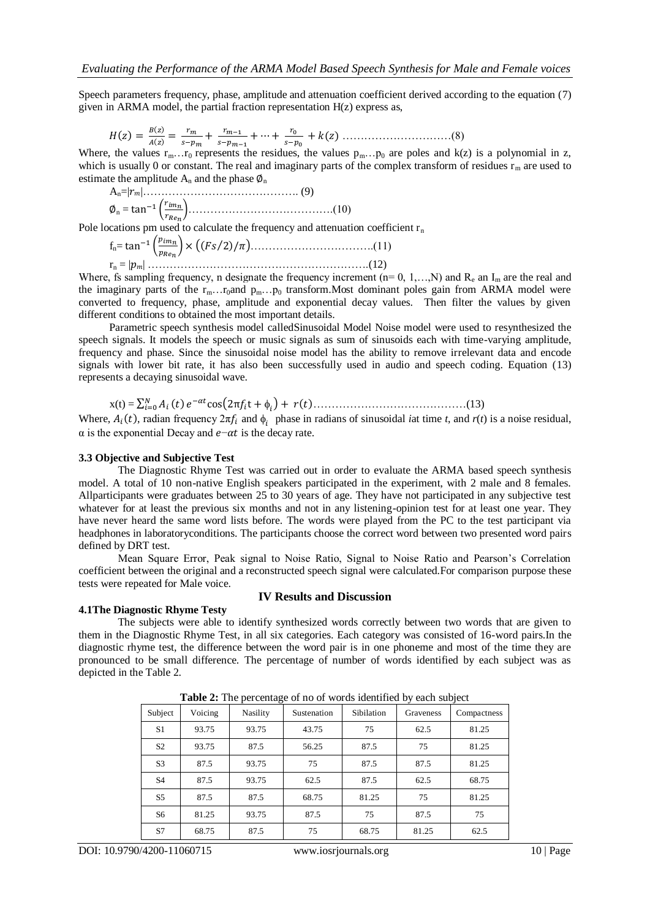Speech parameters frequency, phase, amplitude and attenuation coefficient derived according to the equation (7) given in ARMA model, the partial fraction representation  $H(z)$  express as,

 …………………………(8)

Where, the values  $r_{m}...r_{0}$  represents the residues, the values  $p_{m}...p_{0}$  are poles and k(z) is a polynomial in z, which is usually 0 or constant. The real and imaginary parts of the complex transform of residues  $r_m$  are used to estimate the amplitude  $A_n$  and the phase  $\phi_n$ 

An=| |……………………………………. (9) <sup>n</sup> = ………………………………….(10)

Pole locations pm used to calculate the frequency and attenuation coefficient  $r_n$ 

fn= …………………………….(11) r<sup>n</sup> = | | …………………………………………………….(12)

Where, fs sampling frequency, n designate the frequency increment ( $n= 0, 1,...,N$ ) and  $R_e$  an  $I_m$  are the real and the imaginary parts of the  $r_m...r_0$  and  $p_m...p_0$  transform. Most dominant poles gain from ARMA model were converted to frequency, phase, amplitude and exponential decay values. Then filter the values by given different conditions to obtained the most important details.

Parametric speech synthesis model calledSinusoidal Model Noise model were used to resynthesized the speech signals. It models the speech or music signals as sum of sinusoids each with time-varying amplitude, frequency and phase. Since the sinusoidal noise model has the ability to remove irrelevant data and encode signals with lower bit rate, it has also been successfully used in audio and speech coding. Equation (13) represents a decaying sinusoidal wave.

x(t) = ……………………………………(13)

Where,  $A_i(t)$ , radian frequency  $2\pi f_i$  and  $\phi_i$  phase in radians of sinusoidal *i*at time *t*, and  $r(t)$  is a noise residual,  $\alpha$  is the exponential Decay and  $e$ - $\alpha t$  is the decay rate.

#### **3.3 Objective and Subjective Test**

The Diagnostic Rhyme Test was carried out in order to evaluate the ARMA based speech synthesis model. A total of 10 non-native English speakers participated in the experiment, with 2 male and 8 females. Allparticipants were graduates between 25 to 30 years of age. They have not participated in any subjective test whatever for at least the previous six months and not in any listening-opinion test for at least one year. They have never heard the same word lists before. The words were played from the PC to the test participant via headphones in laboratoryconditions. The participants choose the correct word between two presented word pairs defined by DRT test.

Mean Square Error, Peak signal to Noise Ratio, Signal to Noise Ratio and Pearson's Correlation coefficient between the original and a reconstructed speech signal were calculated.For comparison purpose these tests were repeated for Male voice.

#### **4.1The Diagnostic Rhyme Testy**

#### **IV Results and Discussion**

The subjects were able to identify synthesized words correctly between two words that are given to them in the Diagnostic Rhyme Test, in all six categories. Each category was consisted of 16-word pairs.In the diagnostic rhyme test, the difference between the word pair is in one phoneme and most of the time they are pronounced to be small difference. The percentage of number of words identified by each subject was as depicted in the Table 2.

| Voicing<br>Subject |       | $\sim$ $\sim$<br><b>Nasility</b> | Sustenation | Sibilation | Graveness | Compactness |
|--------------------|-------|----------------------------------|-------------|------------|-----------|-------------|
| S1                 | 93.75 | 93.75                            | 43.75       | 75         | 62.5      | 81.25       |
| S <sub>2</sub>     | 93.75 | 87.5                             | 56.25       | 87.5       | 75        | 81.25       |
| S <sub>3</sub>     | 87.5  | 93.75                            | 75          | 87.5       | 87.5      | 81.25       |
| S <sub>4</sub>     | 87.5  | 93.75                            | 62.5        | 87.5       | 62.5      | 68.75       |
| S <sub>5</sub>     | 87.5  | 87.5                             | 68.75       | 81.25      | 75        | 81.25       |
| S6                 | 81.25 | 93.75                            | 87.5        | 75         | 87.5      | 75          |
| S7                 | 68.75 | 87.5                             | 75          | 68.75      | 81.25     | 62.5        |

**Table 2:** The percentage of no of words identified by each subject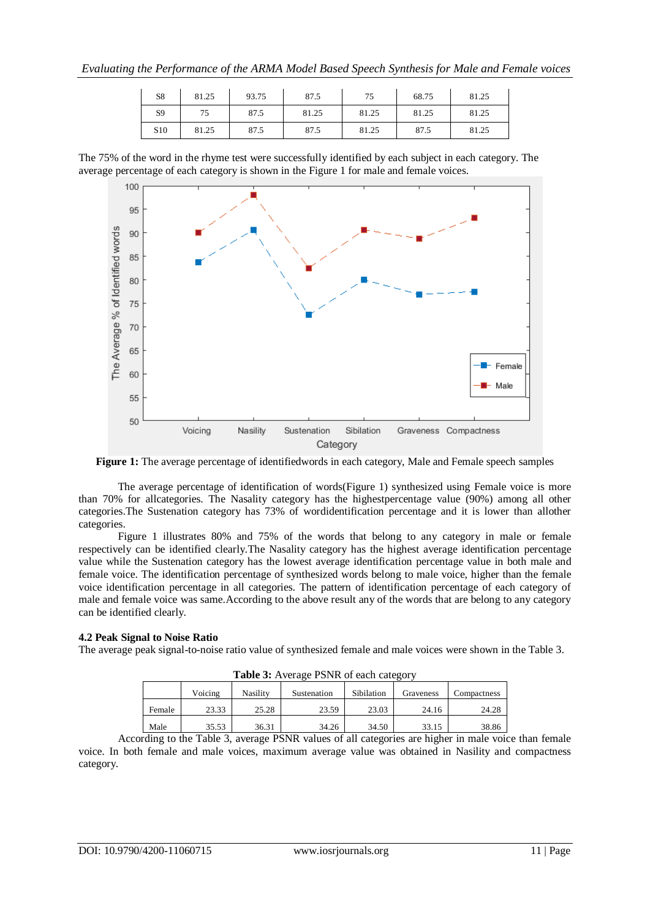| S8              | 81.25 | 93.75 | 87.5  | 75    | 68.75 | 81.25 |
|-----------------|-------|-------|-------|-------|-------|-------|
| S <sub>9</sub>  | 75    | 87.5  | 81.25 | 81.25 | 81.25 | 81.25 |
| S <sub>10</sub> | 81.25 | 87.5  | 87.5  | 81.25 | 87.5  | 81.25 |

The 75% of the word in the rhyme test were successfully identified by each subject in each category. The average percentage of each category is shown in the Figure 1 for male and female voices.



**Figure 1:** The average percentage of identifiedwords in each category, Male and Female speech samples

The average percentage of identification of words(Figure 1) synthesized using Female voice is more than 70% for allcategories. The Nasality category has the highestpercentage value (90%) among all other categories.The Sustenation category has 73% of wordidentification percentage and it is lower than allother categories.

Figure 1 illustrates 80% and 75% of the words that belong to any category in male or female respectively can be identified clearly.The Nasality category has the highest average identification percentage value while the Sustenation category has the lowest average identification percentage value in both male and female voice. The identification percentage of synthesized words belong to male voice, higher than the female voice identification percentage in all categories. The pattern of identification percentage of each category of male and female voice was same.According to the above result any of the words that are belong to any category can be identified clearly.

## **4.2 Peak Signal to Noise Ratio**

The average peak signal-to-noise ratio value of synthesized female and male voices were shown in the Table 3.

| <b>THOIC OF ITICIALS I DI III OI CACH CAICLOI</b> |         |                 |             |            |           |             |  |
|---------------------------------------------------|---------|-----------------|-------------|------------|-----------|-------------|--|
|                                                   | Voicing | <b>Nasility</b> | Sustenation | Sibilation | Graveness | Compactness |  |
| Female                                            | 23.33   | 25.28           | 23.59       | 23.03      | 24.16     | 24.28       |  |
| Male                                              | 35.53   | 36.31           | 34.26       | 34.50      | 33.15     | 38.86       |  |

**Table 3:** Average PSNR of each category

According to the Table 3, average PSNR values of all categories are higher in male voice than female voice. In both female and male voices, maximum average value was obtained in Nasility and compactness category.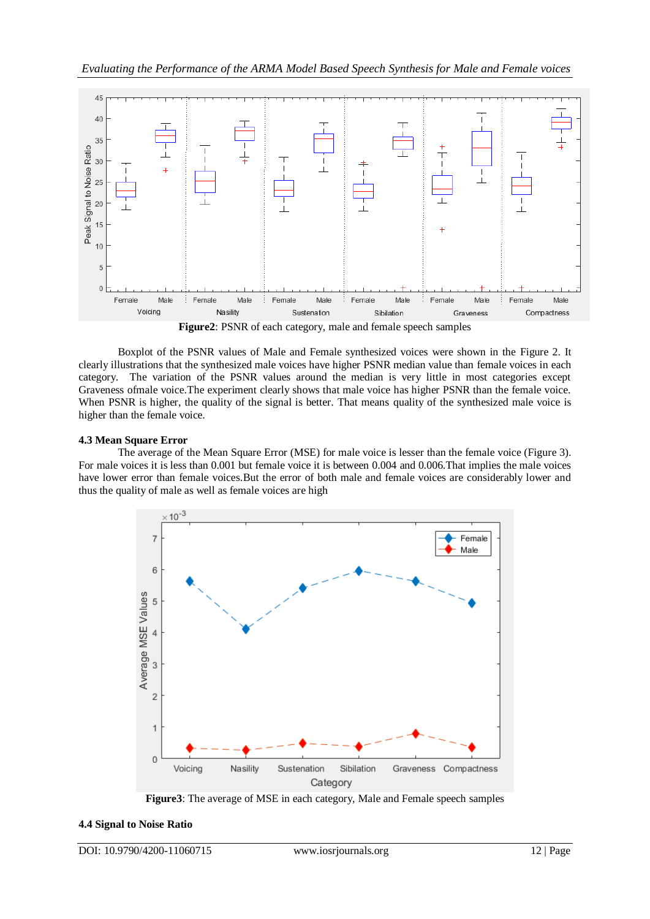

**Figure2**: PSNR of each category, male and female speech samples

Boxplot of the PSNR values of Male and Female synthesized voices were shown in the Figure 2. It clearly illustrations that the synthesized male voices have higher PSNR median value than female voices in each category. The variation of the PSNR values around the median is very little in most categories except Graveness ofmale voice.The experiment clearly shows that male voice has higher PSNR than the female voice. When PSNR is higher, the quality of the signal is better. That means quality of the synthesized male voice is higher than the female voice.

## **4.3 Mean Square Error**

The average of the Mean Square Error (MSE) for male voice is lesser than the female voice (Figure 3). For male voices it is less than 0.001 but female voice it is between 0.004 and 0.006.That implies the male voices have lower error than female voices.But the error of both male and female voices are considerably lower and thus the quality of male as well as female voices are high



**Figure3**: The average of MSE in each category, Male and Female speech samples

#### **4.4 Signal to Noise Ratio**

DOI: 10.9790/4200-11060715 www.iosrjournals.org 12 | Page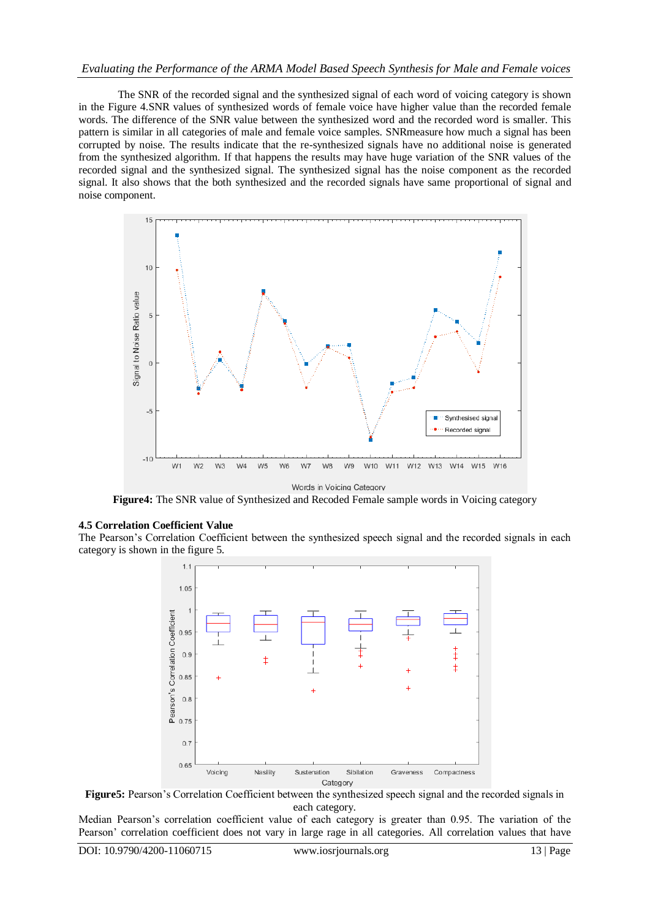## *Evaluating the Performance of the ARMA Model Based Speech Synthesis for Male and Female voices*

The SNR of the recorded signal and the synthesized signal of each word of voicing category is shown in the Figure 4.SNR values of synthesized words of female voice have higher value than the recorded female words. The difference of the SNR value between the synthesized word and the recorded word is smaller. This pattern is similar in all categories of male and female voice samples. SNRmeasure how much a signal has been corrupted by noise. The results indicate that the re-synthesized signals have no additional noise is generated from the synthesized algorithm. If that happens the results may have huge variation of the SNR values of the recorded signal and the synthesized signal. The synthesized signal has the noise component as the recorded signal. It also shows that the both synthesized and the recorded signals have same proportional of signal and noise component.



**Figure4:** The SNR value of Synthesized and Recoded Female sample words in Voicing category

#### **4.5 Correlation Coefficient Value**

The Pearson's Correlation Coefficient between the synthesized speech signal and the recorded signals in each category is shown in the figure 5.



**Figure5:** Pearson's Correlation Coefficient between the synthesized speech signal and the recorded signals in each category.

Median Pearson's correlation coefficient value of each category is greater than 0.95. The variation of the Pearson' correlation coefficient does not vary in large rage in all categories. All correlation values that have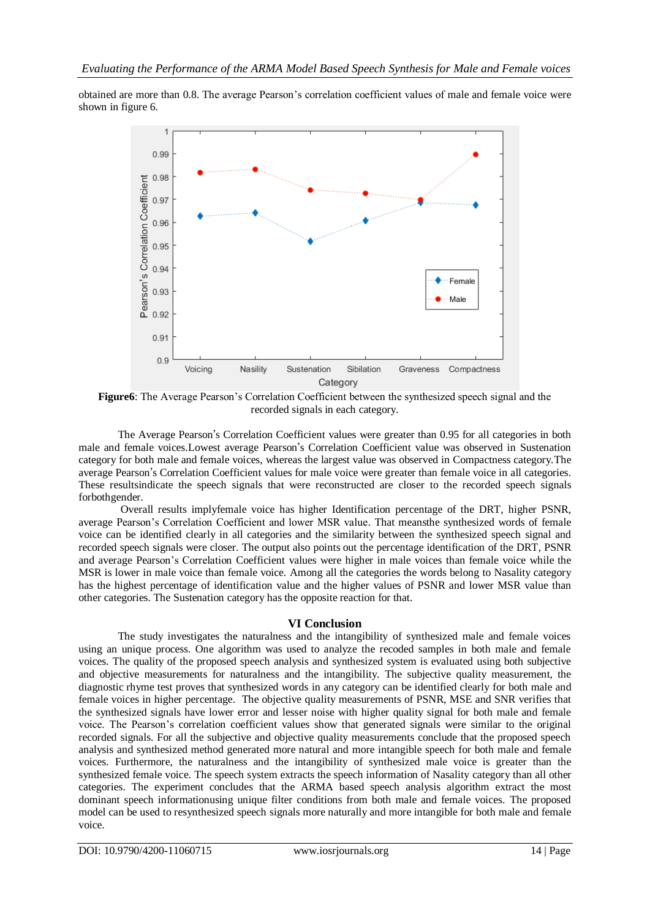obtained are more than 0.8. The average Pearson's correlation coefficient values of male and female voice were shown in figure 6.



**Figure6**: The Average Pearson's Correlation Coefficient between the synthesized speech signal and the recorded signals in each category.

The Average Pearson's Correlation Coefficient values were greater than 0.95 for all categories in both male and female voices.Lowest average Pearson's Correlation Coefficient value was observed in Sustenation category for both male and female voices, whereas the largest value was observed in Compactness category.The average Pearson's Correlation Coefficient values for male voice were greater than female voice in all categories. These resultsindicate the speech signals that were reconstructed are closer to the recorded speech signals forbothgender.

Overall results implyfemale voice has higher Identification percentage of the DRT, higher PSNR, average Pearson's Correlation Coefficient and lower MSR value. That meansthe synthesized words of female voice can be identified clearly in all categories and the similarity between the synthesized speech signal and recorded speech signals were closer. The output also points out the percentage identification of the DRT, PSNR and average Pearson's Correlation Coefficient values were higher in male voices than female voice while the MSR is lower in male voice than female voice. Among all the categories the words belong to Nasality category has the highest percentage of identification value and the higher values of PSNR and lower MSR value than other categories. The Sustenation category has the opposite reaction for that.

## **VI Conclusion**

The study investigates the naturalness and the intangibility of synthesized male and female voices using an unique process. One algorithm was used to analyze the recoded samples in both male and female voices. The quality of the proposed speech analysis and synthesized system is evaluated using both subjective and objective measurements for naturalness and the intangibility. The subjective quality measurement, the diagnostic rhyme test proves that synthesized words in any category can be identified clearly for both male and female voices in higher percentage. The objective quality measurements of PSNR, MSE and SNR verifies that the synthesized signals have lower error and lesser noise with higher quality signal for both male and female voice. The Pearson's correlation coefficient values show that generated signals were similar to the original recorded signals. For all the subjective and objective quality measurements conclude that the proposed speech analysis and synthesized method generated more natural and more intangible speech for both male and female voices. Furthermore, the naturalness and the intangibility of synthesized male voice is greater than the synthesized female voice. The speech system extracts the speech information of Nasality category than all other categories. The experiment concludes that the ARMA based speech analysis algorithm extract the most dominant speech informationusing unique filter conditions from both male and female voices. The proposed model can be used to resynthesized speech signals more naturally and more intangible for both male and female voice.